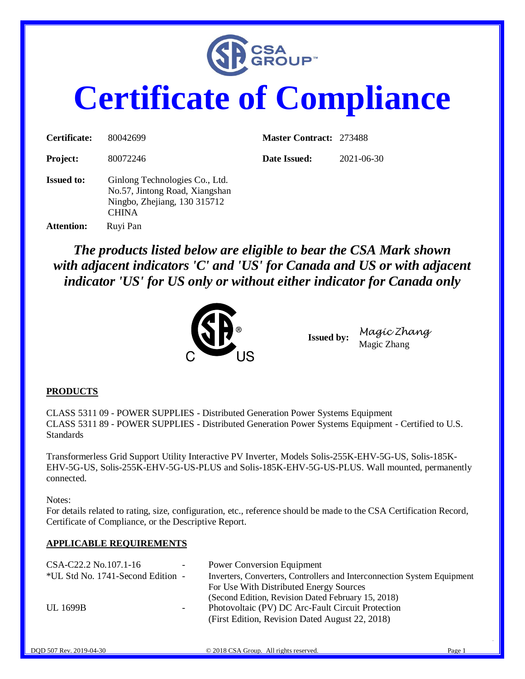

# **Certificate of Compliance**

| Certificate:      | 80042699                                                                                                         | <b>Master Contract: 273488</b> |            |
|-------------------|------------------------------------------------------------------------------------------------------------------|--------------------------------|------------|
| <b>Project:</b>   | 80072246                                                                                                         | Date Issued:                   | 2021-06-30 |
| <b>Issued to:</b> | Ginlong Technologies Co., Ltd.<br>No.57, Jintong Road, Xiangshan<br>Ningbo, Zhejiang, 130 315712<br><b>CHINA</b> |                                |            |
| <b>Attention:</b> | Ruyi Pan                                                                                                         |                                |            |

*The products listed below are eligible to bear the CSA Mark shown with adjacent indicators 'C' and 'US' for Canada and US or with adjacent indicator 'US' for US only or without either indicator for Canada only* 



**Issued by:** *Magic Zhang* Magic Zhang

#### **PRODUCTS**

CLASS 5311 09 - POWER SUPPLIES - Distributed Generation Power Systems Equipment CLASS 5311 89 - POWER SUPPLIES - Distributed Generation Power Systems Equipment - Certified to U.S. Standards

Transformerless Grid Support Utility Interactive PV Inverter, Models Solis-255K-EHV-5G-US, Solis-185K-EHV-5G-US, Solis-255K-EHV-5G-US-PLUS and Solis-185K-EHV-5G-US-PLUS. Wall mounted, permanently connected.

Notes:

For details related to rating, size, configuration, etc., reference should be made to the CSA Certification Record, Certificate of Compliance, or the Descriptive Report.

#### **APPLICABLE REQUIREMENTS**

| CSA-C22.2 No.107.1-16             | $\sim$ | <b>Power Conversion Equipment</b>                                       |
|-----------------------------------|--------|-------------------------------------------------------------------------|
| *UL Std No. 1741-Second Edition - |        | Inverters, Converters, Controllers and Interconnection System Equipment |
|                                   |        | For Use With Distributed Energy Sources                                 |
|                                   |        | (Second Edition, Revision Dated February 15, 2018)                      |
| <b>UL 1699B</b>                   | ۰.     | Photovoltaic (PV) DC Arc-Fault Circuit Protection                       |
|                                   |        | (First Edition, Revision Dated August 22, 2018)                         |
|                                   |        |                                                                         |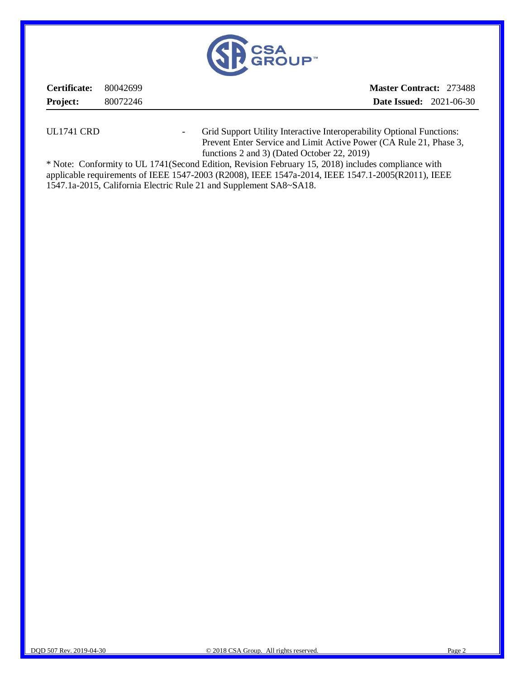

| Certificate: 80042699 |          | <b>Master Contract: 273488</b> |  |
|-----------------------|----------|--------------------------------|--|
| <b>Project:</b>       | 80072246 | <b>Date Issued:</b> 2021-06-30 |  |
|                       |          |                                |  |

UL1741 CRD - Grid Support Utility Interactive Interoperability Optional Functions: Prevent Enter Service and Limit Active Power (CA Rule 21, Phase 3, functions 2 and 3) (Dated October 22, 2019)

\* Note: Conformity to UL 1741(Second Edition, Revision February 15, 2018) includes compliance with applicable requirements of IEEE 1547-2003 (R2008), IEEE 1547a-2014, IEEE 1547.1-2005(R2011), IEEE 1547.1a-2015, California Electric Rule 21 and Supplement SA8~SA18.